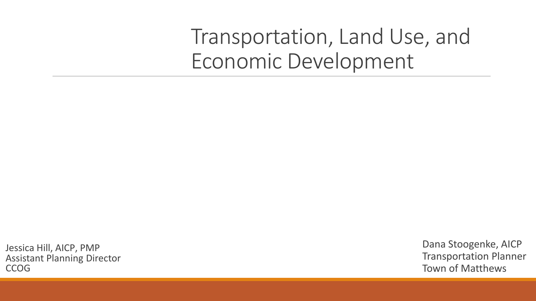### Transportation, Land Use, and Economic Development

Jessica Hill, AICP, PMP Assistant Planning Director **CCOG** 

Dana Stoogenke, AICP Transportation Planner Town of Matthews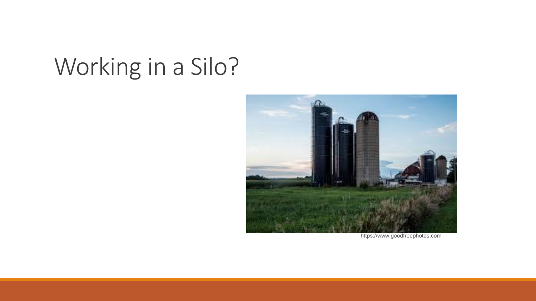# Working in a Silo?



https://www.goodfreephotos.com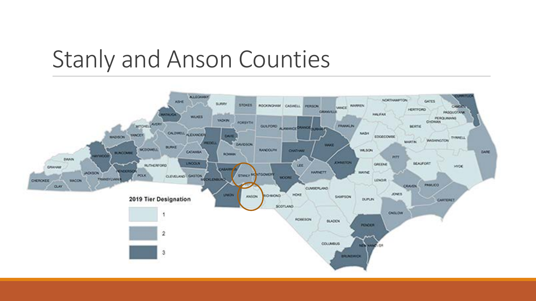## Stanly and Anson Counties

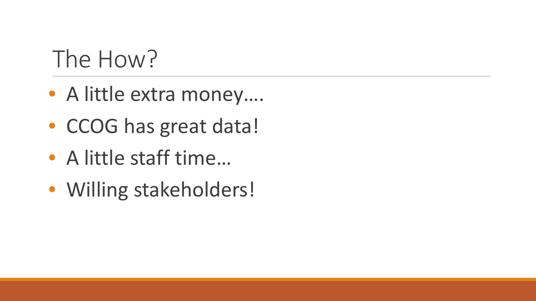# The How?

- A little extra money....
- CCOG has great data!
- A little staff time…
- Willing stakeholders!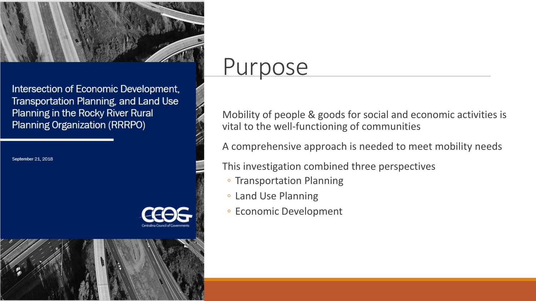

Intersection of Economic Development, Transportation Planning, and Land Use Planning in the Rocky River Rural Planning Organization (RRRPO)

September 21, 2018



### **Purpose**

Mobility of people & goods for social and economic activities is vital to the well-functioning of communities

A comprehensive approach is needed to meet mobility needs

This investigation combined three perspectives

- Transportation Planning
- Land Use Planning
- Economic Development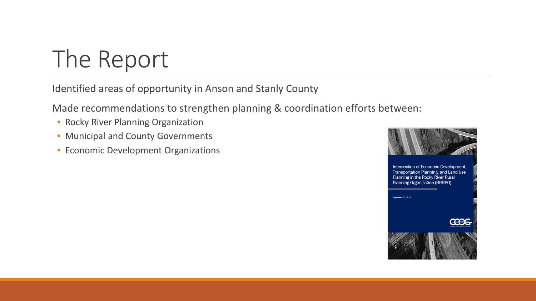# The Report

Identified areas of opportunity in Anson and Stanly County

Made recommendations to strengthen planning & coordination efforts between:

- Rocky River Planning Organization
- Municipal and County Governments
- Economic Development Organizations

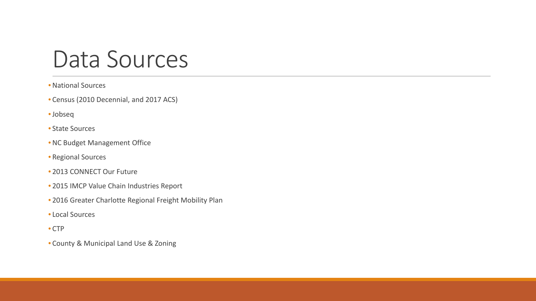### Data Sources

#### • National Sources

- Census (2010 Decennial, and 2017 ACS)
- •Jobseq
- State Sources
- NC Budget Management Office
- Regional Sources
- 2013 CONNECT Our Future
- 2015 IMCP Value Chain Industries Report
- 2016 Greater Charlotte Regional Freight Mobility Plan
- Local Sources
- CTP
- County & Municipal Land Use & Zoning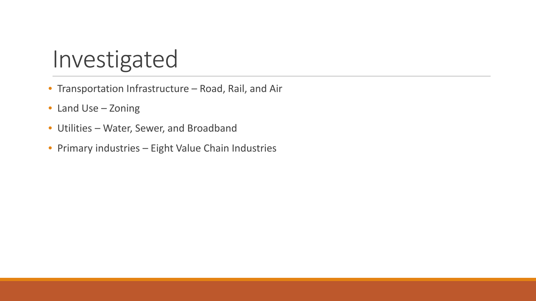## Investigated

- Transportation Infrastructure Road, Rail, and Air
- Land Use Zoning
- Utilities Water, Sewer, and Broadband
- Primary industries Eight Value Chain Industries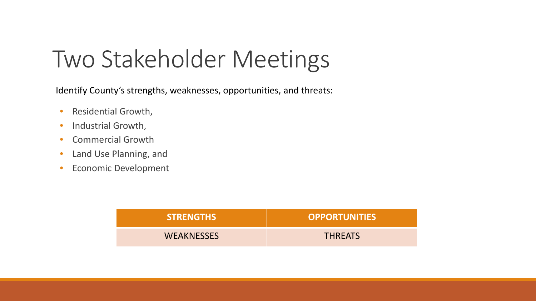# Two Stakeholder Meetings

Identify County's strengths, weaknesses, opportunities, and threats:

- Residential Growth,
- Industrial Growth,
- Commercial Growth
- Land Use Planning, and
- Economic Development

| <b>STRENGTHS</b>  | <b>OPPORTUNITIES</b> |
|-------------------|----------------------|
| <b>WEAKNESSES</b> | <b>THREATS</b>       |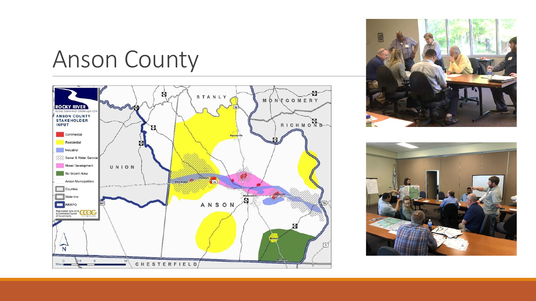## Anson County





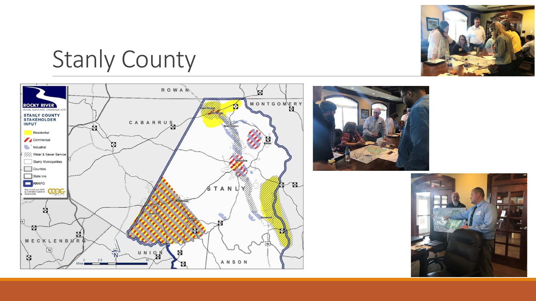

Stanly County



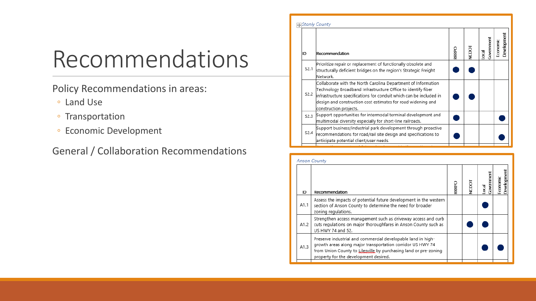# Recommendations

Policy Recommendations in areas:

- Land Use
- Transportation
- Economic Development

General / Collaboration Recommendations

|      | ∣∓ Stanly County                                                                                                                                                                                                                                                                              |       |       |   |            |          |             |
|------|-----------------------------------------------------------------------------------------------------------------------------------------------------------------------------------------------------------------------------------------------------------------------------------------------|-------|-------|---|------------|----------|-------------|
| ID   | Recommendation                                                                                                                                                                                                                                                                                | RRRPO | NCDOI | œ | Government | Economic | Development |
| S2.1 | Prioritize repair or replacement of functionally obsolete and<br>structurally deficient bridges on the region's Strategic Freight<br>Network.                                                                                                                                                 |       |       |   |            |          |             |
| S2.2 | Collaborate with the North Carolina Department of Information<br>Technology Broadband Infrastructure Office to identify fiber<br>infrastructure specifications for conduit which can be included in<br>design and construction cost estimates for road widening and<br>construction projects. |       |       |   |            |          |             |
| S2.3 | Support opportunities for intermodal terminal development and<br>multimodal diversity especially for short-line railroads.                                                                                                                                                                    |       |       |   |            |          |             |
| S2.4 | Support business/industrial park development through proactive<br>recommendations for road/rail site design and specifications to<br>anticipate potential client/user needs.                                                                                                                  |       |       |   |            |          |             |
|      |                                                                                                                                                                                                                                                                                               |       |       |   |            |          |             |

| <b>Anson County</b> |                                                                                                                                                                                                                                         |             |  |                |                         |  |  |  |
|---------------------|-----------------------------------------------------------------------------------------------------------------------------------------------------------------------------------------------------------------------------------------|-------------|--|----------------|-------------------------|--|--|--|
| ID                  | Recommendation                                                                                                                                                                                                                          | <b>RRPC</b> |  | overnment<br>ख | Jevelopment<br>Economic |  |  |  |
| A1.1                | Assess the impacts of potential future development in the western<br>section of Anson County to determine the need for broader<br>zoning regulations.                                                                                   |             |  |                |                         |  |  |  |
| A1.2                | Strengthen access management such as driveway access and curb<br>cuts regulations on major thoroughfares in Anson County such as<br>US HWY 74 and 52.                                                                                   |             |  |                |                         |  |  |  |
| A1.3                | Preserve industrial and commercial developable land in high-<br>growth areas along major transportation corridor US HWY 74<br>from Union County to Lilesville by purchasing land or pre-zoning<br>property for the development desired. |             |  |                |                         |  |  |  |